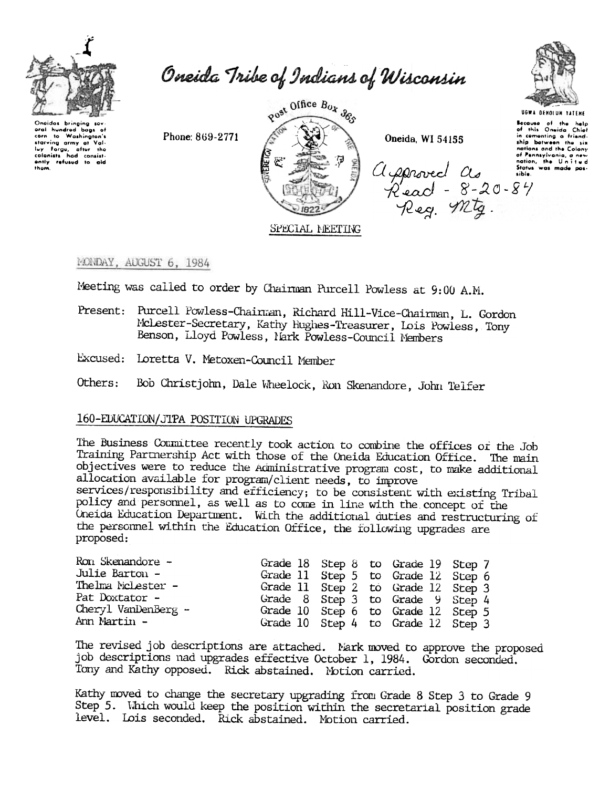

Oneidas bringing aral hundred bags of corn to Washington's starving army of Valluy Forge, after the ontly refused to aid Oneida Tribe of Indians of Wisconsin

Post Office Box 385 SPECIAL MEETING

Oneida, WI 54155

agenerical as

Read - 8-20-84<br>Read - 8-20-84



**UGWA DENOLUN TATENE** 

Secause of the help<br>of this Onsida Chief in comenting a friend. ship between the six nations and the Colony of Pennsylvania, a new Status was made possible.

MONDAY, AUGUST 6, 1984

Meeting was called to order by Chairman Purcell Powless at 9:00 A.M.

- Present: Purcell Powless-Chainman, Richard Hill-Vice-Chainman, L. Gordon McLester-Secretary, Kathy Hughes-Treasurer, Lois Powless, Tony Benson, Lloyd Powless, Nark Powless-Council Members
- Excused: Loretta V. Metoxen-Council Member

Phone: 869-2771

Others: Bob Christjohn, Dale Wheelock, Ron Skenandore, John Telfer

## 160-EDUCATION/JTPA POSITION UPGRADES

The Business Committee recently took action to combine the offices of the Job Training Partnership Act with those of the Oneida Education Office. The main objectives were to reduce the Administrative program cost, to make additional allocation available for program/client needs, to improve services/responsibility and efficiency; to be consistent with existing Tribal policy and personnel, as well as to come in line with the concept of the Oneida Education Department. With the additional duties and restructuring of the personnel within the Education Office, the following upgrades are proposed:

| Ron Skenandore -        |  | Grade 18 Step 8 to Grade 19 Step 7 |  |
|-------------------------|--|------------------------------------|--|
| Julie Barton -          |  | Grade 11 Step 5 to Grade 12 Step 6 |  |
| Thelma McLester -       |  | Grade 11 Step 2 to Grade 12 Step 3 |  |
| Pat Doxtator -          |  | Grade 8 Step 3 to Grade 9 Step 4   |  |
| $Chery1$ VanDenBerg $-$ |  | Grade 10 Step 6 to Grade 12 Step 5 |  |
| Ann Martin -            |  | Grade 10 Step 4 to Grade 12 Step 3 |  |

The revised job descriptions are attached. Nark moved to approve the proposed job descriptions nad upgrades effective October 1, 1984. Gordon seconded. Tony and Kathy opposed. Rick abstained. Motion carried.

Kathy moved to change the secretary upgrading from Grade 8 Step 3 to Grade 9 Step 5. Which would keep the position within the secretarial position grade level. Lois seconded. Rick abstained. Motion carried.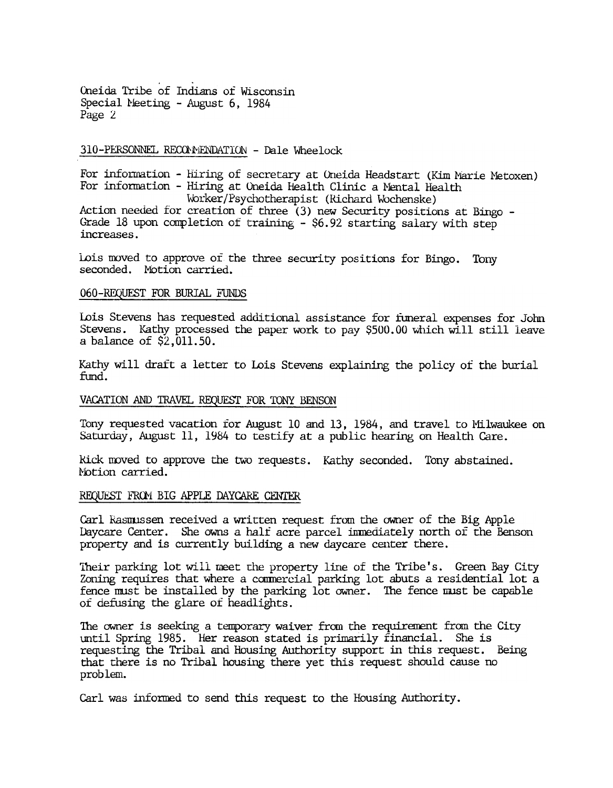.. Oneida Tribe of Indians of Wisconsi Special Meeting - August 6, 1984 Page 2.

310-PERSONNEL RECOMMENDATION - Dale Wheelock

For information - Hiring of secretary at Oneida Headstart (Kim Marie Metoxen) For information - Hiring at Oneida Health Clinic a Mental Health  $Woker/Psychotherapist$  (Richard Wochenske) Action needed for creation of three  $(3)$  new Security positions at Bingo -Grade 18 upon completion of training - \$6.92 starting salary with step increases.

Lois moved to approve of the three security positions for Bingo. Tony seconded. Motion carried.

## 060-REQUEST FOR BURIAL FUNDS

Lois Stevens has requested additional assistance for funeral expenses for John Stevens. Kathy processed the paper work to pay \$500.00 Which will still leave a balance of \$2,011.50.

Kathy will draft a letter to Lois Stevens explaining the policy of the burial  $find.$ 

# VACATION AND TRAVEL REQUEST FOR TONY BENSON

Tony requested vacation for August 10 and 13, 1984, and travel to Milwaukee on Saturday, August 11, 1984 to testify at a public hearing on Health Care.

Rick moved to approve the two requests. Kathy seconded. Tony abstained. Notion carried.

### REQUEST FROM BIG APPLE DAYCARE CENTER

Carl Rasmussen received a written request from the owner of the Big Apple. Daycare Center. She owns a half acre parcel inmediately north of the Benson property and is currently building a new daycare center there.

Their parking lot will meet the property line of the Tribe's. Green Bay City Zoning requires that where a commercial parking lot abuts a residential lot a fence must be installed by the parking lot owner. The fence must be capable of defusing the glare of headlights.

The owner is seeking a temporary waiver from the requirement from the City until Spring 1985. Her reason stated is primarily financial. She is requesting the Tribal and Housing Authority support in this request. Being that there is no Tribal housing there yet this request should cause no problem.

Carl was informed to send this request to the Housing Authority.